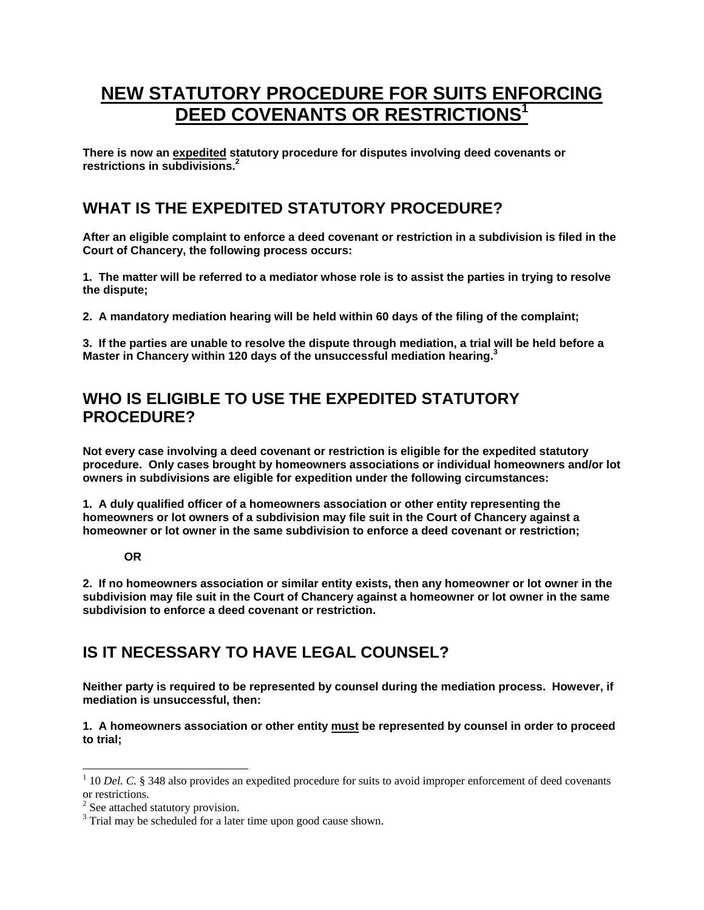# **NEW STATUTORY PROCEDURE FOR SUITS ENFORCING DEED COVENANTS OR RESTRICTIONS<sup>1</sup>**

**There is now an expedited statutory procedure for disputes involving deed covenants or restrictions in subdivisions.<sup>2</sup>**

# **WHAT IS THE EXPEDITED STATUTORY PROCEDURE?**

**After an eligible complaint to enforce a deed covenant or restriction in a subdivision is filed in the Court of Chancery, the following process occurs:** 

**1. The matter will be referred to a mediator whose role is to assist the parties in trying to resolve the dispute;** 

**2. A mandatory mediation hearing will be held within 60 days of the filing of the complaint;** 

**3. If the parties are unable to resolve the dispute through mediation, a trial will be held before a Master in Chancery within 120 days of the unsuccessful mediation hearing.3**

# **WHO IS ELIGIBLE TO USE THE EXPEDITED STATUTORY PROCEDURE?**

**Not every case involving a deed covenant or restriction is eligible for the expedited statutory procedure. Only cases brought by homeowners associations or individual homeowners and/or lot owners in subdivisions are eligible for expedition under the following circumstances:** 

**1. A duly qualified officer of a homeowners association or other entity representing the homeowners or lot owners of a subdivision may file suit in the Court of Chancery against a homeowner or lot owner in the same subdivision to enforce a deed covenant or restriction;** 

#### **OR**

**2. If no homeowners association or similar entity exists, then any homeowner or lot owner in the subdivision may file suit in the Court of Chancery against a homeowner or lot owner in the same subdivision to enforce a deed covenant or restriction.** 

# **IS IT NECESSARY TO HAVE LEGAL COUNSEL?**

**Neither party is required to be represented by counsel during the mediation process. However, if mediation is unsuccessful, then:** 

#### **1. A homeowners association or other entity must be represented by counsel in order to proceed to trial;**

-

 $1$  10 *Del. C.* § 348 also provides an expedited procedure for suits to avoid improper enforcement of deed covenants or restrictions.

<sup>&</sup>lt;sup>2</sup> See attached statutory provision.

<sup>&</sup>lt;sup>3</sup> Trial may be scheduled for a later time upon good cause shown.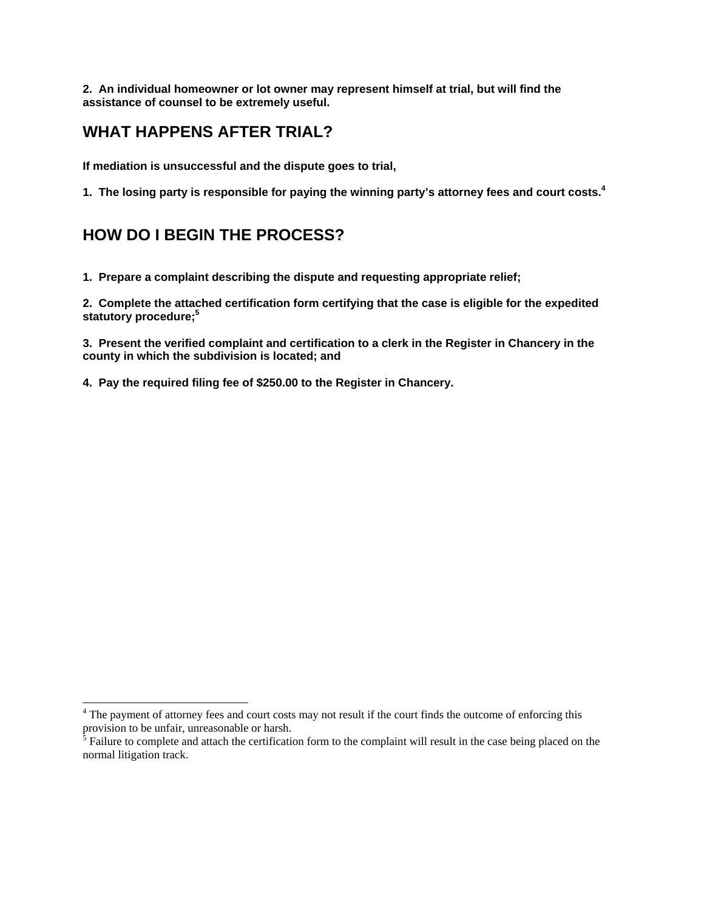**2. An individual homeowner or lot owner may represent himself at trial, but will find the assistance of counsel to be extremely useful.** 

# **WHAT HAPPENS AFTER TRIAL?**

**If mediation is unsuccessful and the dispute goes to trial,** 

**1. The losing party is responsible for paying the winning party's attorney fees and court costs.4**

# **HOW DO I BEGIN THE PROCESS?**

 $\overline{a}$ 

**1. Prepare a complaint describing the dispute and requesting appropriate relief;** 

**2. Complete the attached certification form certifying that the case is eligible for the expedited statutory procedure;5**

**3. Present the verified complaint and certification to a clerk in the Register in Chancery in the county in which the subdivision is located; and** 

**4. Pay the required filing fee of \$250.00 to the Register in Chancery.** 

<sup>&</sup>lt;sup>4</sup> The payment of attorney fees and court costs may not result if the court finds the outcome of enforcing this

provision to be unfair, unreasonable or harsh.<br><sup>5</sup> Failure to complete and attach the certification form to the complaint will result in the case being placed on the normal litigation track.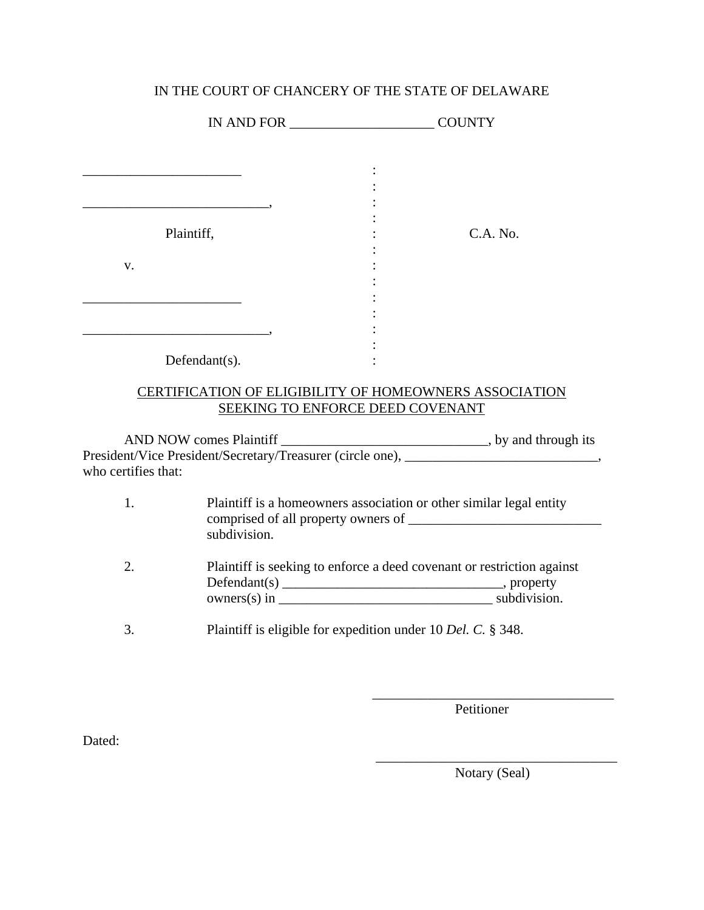### IN THE COURT OF CHANCERY OF THE STATE OF DELAWARE

|                     | Plaintiff,                                                                          | $C.A.$ No.                                                                                                                         |  |  |
|---------------------|-------------------------------------------------------------------------------------|------------------------------------------------------------------------------------------------------------------------------------|--|--|
| V.                  |                                                                                     |                                                                                                                                    |  |  |
|                     |                                                                                     |                                                                                                                                    |  |  |
|                     |                                                                                     |                                                                                                                                    |  |  |
|                     | Defendant $(s)$ .                                                                   |                                                                                                                                    |  |  |
|                     |                                                                                     | CERTIFICATION OF ELIGIBILITY OF HOMEOWNERS ASSOCIATION                                                                             |  |  |
|                     |                                                                                     | SEEKING TO ENFORCE DEED COVENANT                                                                                                   |  |  |
|                     |                                                                                     |                                                                                                                                    |  |  |
| who certifies that: |                                                                                     |                                                                                                                                    |  |  |
| 1.                  | Plaintiff is a homeowners association or other similar legal entity<br>subdivision. |                                                                                                                                    |  |  |
| 2.                  |                                                                                     | Plaintiff is seeking to enforce a deed covenant or restriction against<br>$owners(s)$ in $\_\_\_\_\_\_\_\_\_\_\_\_\_$ subdivision. |  |  |
| 3.                  |                                                                                     | Plaintiff is eligible for expedition under 10 Del. C. § 348.                                                                       |  |  |

 $\overline{\phantom{a}}$  , which is a set of the contract of the contract of the contract of the contract of the contract of the contract of the contract of the contract of the contract of the contract of the contract of the contract

 $\overline{\phantom{a}}$  , which is a set of the set of the set of the set of the set of the set of the set of the set of the set of the set of the set of the set of the set of the set of the set of the set of the set of the set of th

Petitioner

Dated:

Notary (Seal)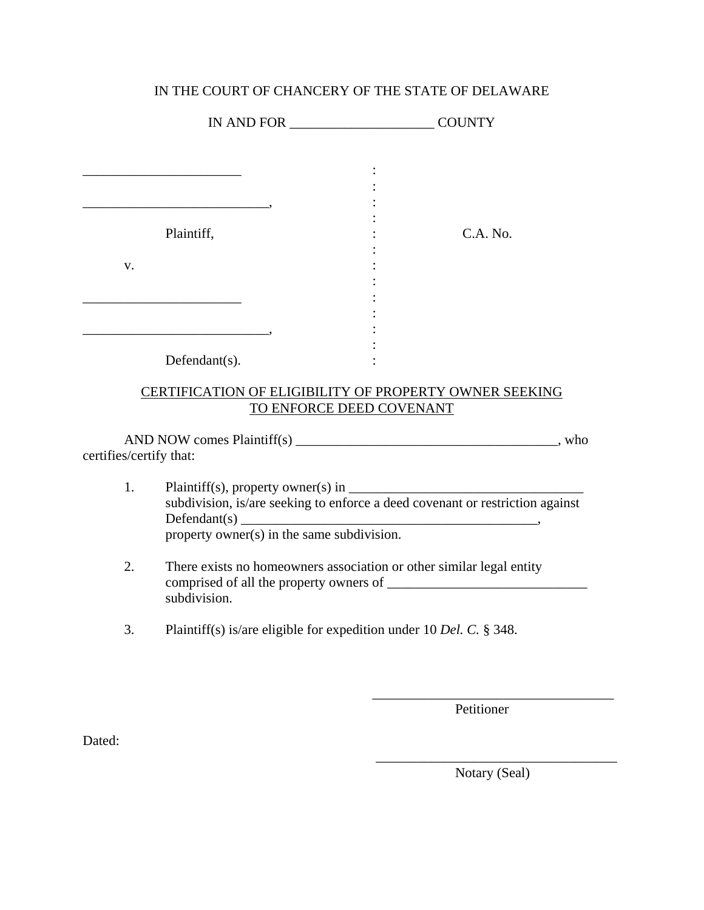### IN THE COURT OF CHANCERY OF THE STATE OF DELAWARE

|                         | Plaintiff,                                                                                                                  |                          | C.A. No. |  |
|-------------------------|-----------------------------------------------------------------------------------------------------------------------------|--------------------------|----------|--|
| V.                      |                                                                                                                             |                          |          |  |
|                         | Defendant(s).                                                                                                               |                          |          |  |
|                         | CERTIFICATION OF ELIGIBILITY OF PROPERTY OWNER SEEKING                                                                      | TO ENFORCE DEED COVENANT |          |  |
| certifies/certify that: |                                                                                                                             |                          |          |  |
| 1.                      | subdivision, is/are seeking to enforce a deed covenant or restriction against<br>property owner(s) in the same subdivision. |                          |          |  |
| 2.                      | There exists no homeowners association or other similar legal entity<br>subdivision.                                        |                          |          |  |
| 3.                      | Plaintiff(s) is/are eligible for expedition under 10 Del. C. § 348.                                                         |                          |          |  |

 $\overline{\phantom{a}}$  , which is a set of the set of the set of the set of the set of the set of the set of the set of the set of the set of the set of the set of the set of the set of the set of the set of the set of the set of th

 $\overline{\phantom{a}}$  , which is a set of the set of the set of the set of the set of the set of the set of the set of the set of the set of the set of the set of the set of the set of the set of the set of the set of the set of th

Petitioner

Dated:

Notary (Seal)